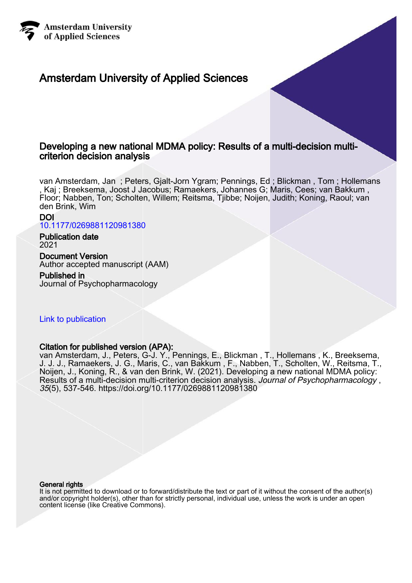

# Amsterdam University of Applied Sciences

# Developing a new national MDMA policy: Results of a multi-decision multicriterion decision analysis

van Amsterdam, Jan ; Peters, Gjalt-Jorn Ygram; Pennings, Ed ; Blickman , Tom ; Hollemans , Kaj ; Breeksema, Joost J Jacobus; Ramaekers, Johannes G; Maris, Cees; van Bakkum , Floor; Nabben, Ton; Scholten, Willem; Reitsma, Tjibbe; Noijen, Judith; Koning, Raoul; van den Brink, Wim

DOI [10.1177/0269881120981380](https://doi.org/10.1177/0269881120981380)

Publication date 2021

Document Version Author accepted manuscript (AAM)

# Published in

Journal of Psychopharmacology

# [Link to publication](https://research.hva.nl/en/publications/d8ae8f2f-bd83-483c-a28f-ad5acce903ce)

# Citation for published version (APA):

van Amsterdam, J., Peters, G-J. Y., Pennings, E., Blickman , T., Hollemans , K., Breeksema, J. J. J., Ramaekers, J. G., Maris, C., van Bakkum , F., Nabben, T., Scholten, W., Reitsma, T., Noijen, J., Koning, R., & van den Brink, W. (2021). Developing a new national MDMA policy: Results of a multi-decision multi-criterion decision analysis. Journal of Psychopharmacology, 35(5), 537-546.<https://doi.org/10.1177/0269881120981380>

#### General rights

It is not permitted to download or to forward/distribute the text or part of it without the consent of the author(s) and/or copyright holder(s), other than for strictly personal, individual use, unless the work is under an open content license (like Creative Commons).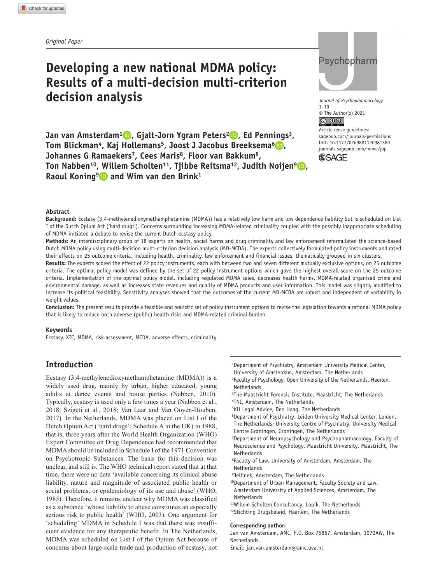# **Developing a new national MDMA policy: Results of a multi-decision multi-criterion decision analysis**

**Jan van Amsterdam<sup>1</sup> <b>D**, Gialt-Jorn Ygram Peters<sup>2</sup> **D**, Ed Pennings<sup>3</sup>, **Tom Blickman<sup>4</sup>, Kaj Hollemans<sup>5</sup>, Joost J Jacobus Breeksema<sup>6</sup> <b>D**, **Johannes G Ramaekers7, Cees Maris8, Floor van Bakkum9, Ton Nabben<sup>10</sup>, Willem Scholten<sup>11</sup>, Tiibbe Reitsma<sup>12</sup>, Judith Noijen<sup>9</sup> <b>D**, Raoul Koning<sup>9</sup> and Wim van den Brink<sup>1</sup>



*Journal of Psychopharmacology* 1–10  $\circ$  The Author(s) 2021

DOI: 10.1177/0269881120981380 Article reuse guidelines: [sagepub.com/journals-permissions](https://uk.sagepub.com/en-gb/journals-permissions) [journals.sagepub.com/home/jop](https://journals.sagepub.com/home/jop)



### **Abstract**

**Background:** Ecstasy (3,4-methylenedioxymethamphetamine (MDMA)) has a relatively low harm and low dependence liability but is scheduled on List I of the Dutch Opium Act ('hard drugs'). Concerns surrounding increasing MDMA-related criminality coupled with the possibly inappropriate scheduling of MDMA initiated a debate to revise the current Dutch ecstasy policy.

**Methods:** An interdisciplinary group of 18 experts on health, social harms and drug criminality and law enforcement reformulated the science-based Dutch MDMA policy using multi-decision multi-criterion decision analysis (MD-MCDA). The experts collectively formulated policy instruments and rated their effects on 25 outcome criteria, including health, criminality, law enforcement and financial issues, thematically grouped in six clusters.

**Results:** The experts scored the effect of 22 policy instruments, each with between two and seven different mutually exclusive options, on 25 outcome criteria. The optimal policy model was defined by the set of 22 policy instrument options which gave the highest overall score on the 25 outcome criteria. Implementation of the optimal policy model, including regulated MDMA sales, decreases health harms, MDMA-related organised crime and environmental damage, as well as increases state revenues and quality of MDMA products and user information. This model was slightly modified to increase its political feasibility. Sensitivity analyses showed that the outcomes of the current MD-MCDA are robust and independent of variability in weight values.

**Conclusion:** The present results provide a feasible and realistic set of policy instrument options to revise the legislation towards a rational MDMA policy that is likely to reduce both adverse (public) health risks and MDMA-related criminal burden.

#### **Keywords**

Ecstasy, XTC, MDMA, risk assessment, MCDA, adverse effects, criminality

# **Introduction**

Ecstasy (3,4-methylenedioxymethamphetamine (MDMA)) is a widely used drug, mainly by urban, higher educated, young adults at dance events and house parties (Nabben, 2010). Typically, ecstasy is used only a few times a year (Nabben et al., 2018; Szigeti et al., 2018; Van Laar and Van Ooyen-Houben, 2017). In the Netherlands, MDMA was placed on List I of the Dutch Opium Act ('hard drugs'; Schedule A in the UK) in 1988, that is, three years after the World Health Organization (WHO) Expert Committee on Drug Dependence had recommended that MDMA should be included in Schedule I of the 1971 Convention on Psychotropic Substances. The basis for this decision was unclear, and still is. The WHO technical report stated that at that time, there were no data 'available concerning its clinical abuse liability, nature and magnitude of associated public health or social problems, or epidemiology of its use and abuse' (WHO, 1985). Therefore, it remains unclear why MDMA was classified as a substance 'whose liability to abuse constitutes an especially serious risk to public health' (WHO, 2003). One argument for 'scheduling' MDMA in Schedule I was that there was insufficient evidence for any therapeutic benefit. In The Netherlands, MDMA was scheduled on List I of the Opium Act because of concerns about large-scale trade and production of ecstasy, not

- 1Department of Psychiatry, Amsterdam University Medical Center, University of Amsterdam, Amsterdam, The Netherlands
- 2Faculty of Psychology, Open University of the Netherlands, Heerlen, **Netherlands**
- 3The Maastricht Forensic Institute, Maastricht, The Netherlands 4TNI, Amsterdam, The Netherlands
- 
- 5KH Legal Advice, Den Haag, The Netherlands
- 6Department of Psychiatry, Leiden University Medical Center, Leiden, The Netherlands; University Centre of Psychiatry, University Medical Centre Groningen, Groningen, The Netherlands
- 7Department of Neuropsychology and Psychopharmacology, Faculty of Neuroscience and Psychology, Maastricht University, Maastricht, The Netherlands
- 8Faculty of Law, University of Amsterdam, Amsterdam, The Netherlands
- 9Jellinek, Amsterdam, The Netherlands
- 10Department of Urban Management, Faculty Society and Law,
- Amsterdam University of Applied Sciences, Amsterdam, The Netherlands
- 11Willem Scholten Consultancy, Lopik, The Netherlands
- 12Stichting Drugsbeleid, Haarlem, The Netherlands

#### **Corresponding author:**

Jan van Amsterdam, AMC, P.O. Box 75867, Amsterdam, 1070AW, The Netherlands.

Email: [jan.van.amsterdam@amc.uva.nl](mailto:jan.van.amsterdam@amc.uva.nl)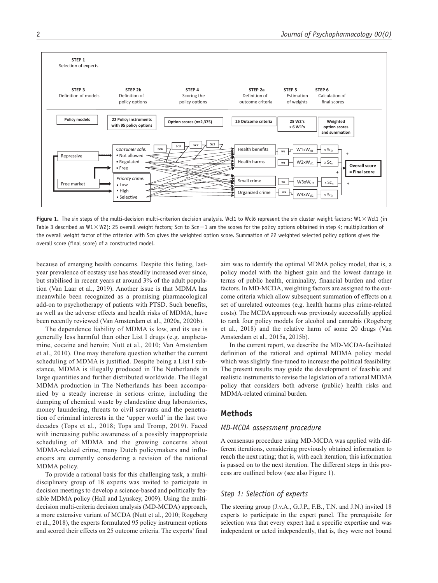

**Figure 1.** The six steps of the multi-decision multi-criterion decision analysis. Wcl1 to Wcl6 represent the six cluster weight factors; W1 × Wcl1 (in Table 3 described as W1  $\times$  W2): 25 overall weight factors; Scn to Scn+1 are the scores for the policy options obtained in step 4; multiplication of the overall weight factor of the criterion with Scn gives the weighted option score. Summation of 22 weighted selected policy options gives the overall score (final score) of a constructed model.

because of emerging health concerns. Despite this listing, lastyear prevalence of ecstasy use has steadily increased ever since, but stabilised in recent years at around 3% of the adult population (Van Laar et al., 2019). Another issue is that MDMA has meanwhile been recognized as a promising pharmacological add-on to psychotherapy of patients with PTSD. Such benefits, as well as the adverse effects and health risks of MDMA, have been recently reviewed (Van Amsterdam et al., 2020a, 2020b).

The dependence liability of MDMA is low, and its use is generally less harmful than other List I drugs (e.g. amphetamine, cocaine and heroin; Nutt et al., 2010; Van Amsterdam et al., 2010). One may therefore question whether the current scheduling of MDMA is justified. Despite being a List I substance, MDMA is illegally produced in The Netherlands in large quantities and further distributed worldwide. The illegal MDMA production in The Netherlands has been accompanied by a steady increase in serious crime, including the dumping of chemical waste by clandestine drug laboratories, money laundering, threats to civil servants and the penetration of criminal interests in the 'upper world' in the last two decades (Tops et al., 2018; Tops and Tromp, 2019). Faced with increasing public awareness of a possibly inappropriate scheduling of MDMA and the growing concerns about MDMA-related crime, many Dutch policymakers and influencers are currently considering a revision of the national MDMA policy.

To provide a rational basis for this challenging task, a multidisciplinary group of 18 experts was invited to participate in decision meetings to develop a science-based and politically feasible MDMA policy (Hall and Lynskey, 2009). Using the multidecision multi-criteria decision analysis (MD-MCDA) approach, a more extensive variant of MCDA (Nutt et al., 2010; Rogeberg et al., 2018), the experts formulated 95 policy instrument options and scored their effects on 25 outcome criteria. The experts' final aim was to identify the optimal MDMA policy model, that is, a policy model with the highest gain and the lowest damage in terms of public health, criminality, financial burden and other factors. In MD-MCDA, weighting factors are assigned to the outcome criteria which allow subsequent summation of effects on a set of unrelated outcomes (e.g. health harms plus crime-related costs). The MCDA approach was previously successfully applied to rank four policy models for alcohol and cannabis (Rogeberg et al., 2018) and the relative harm of some 20 drugs (Van Amsterdam et al., 2015a, 2015b).

In the current report, we describe the MD-MCDA-facilitated definition of the rational and optimal MDMA policy model which was slightly fine-tuned to increase the political feasibility. The present results may guide the development of feasible and realistic instruments to revise the legislation of a rational MDMA policy that considers both adverse (public) health risks and MDMA-related criminal burden.

### **Methods**

#### *MD-MCDA assessment procedure*

A consensus procedure using MD-MCDA was applied with different iterations, considering previously obtained information to reach the next rating; that is, with each iteration, this information is passed on to the next iteration. The different steps in this process are outlined below (see also Figure 1).

### *Step 1: Selection of experts*

The steering group (J.v.A., G.J.P., F.B., T.N. and J.N.) invited 18 experts to participate in the expert panel. The prerequisite for selection was that every expert had a specific expertise and was independent or acted independently, that is, they were not bound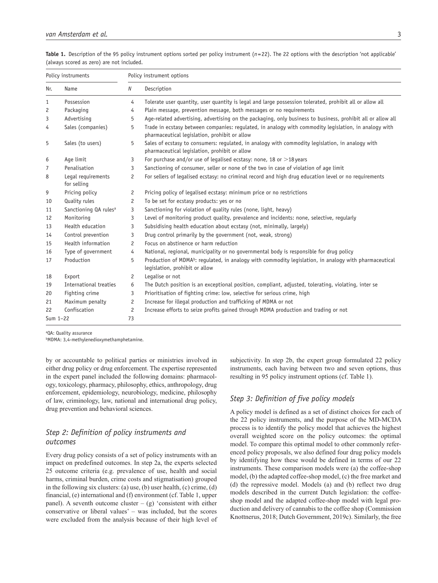|  | Table 1. Description of the 95 policy instrument options sorted per policy instrument $(n=22)$ . The 22 options with the description 'not applicable' |  |  |  |  |  |  |
|--|-------------------------------------------------------------------------------------------------------------------------------------------------------|--|--|--|--|--|--|
|  | (always scored as zero) are not included.                                                                                                             |  |  |  |  |  |  |

| Policy instruments |                                   | Policy instrument options |                                                                                                                                                        |  |  |  |  |  |
|--------------------|-----------------------------------|---------------------------|--------------------------------------------------------------------------------------------------------------------------------------------------------|--|--|--|--|--|
| Name<br>Nr.        |                                   | Ν                         | Description                                                                                                                                            |  |  |  |  |  |
| 1                  | Possession                        | 4                         | Tolerate user quantity, user quantity is legal and large possession tolerated, prohibit all or allow all                                               |  |  |  |  |  |
| 2                  | Packaging                         | 4                         | Plain message, prevention message, both messages or no requirements                                                                                    |  |  |  |  |  |
| 3                  | Advertising                       | 5                         | Age-related advertising, advertising on the packaging, only business to business, prohibit all or allow all                                            |  |  |  |  |  |
| 4                  | Sales (companies)                 | 5                         | Trade in ecstasy between companies: regulated, in analogy with commodity legislation, in analogy with<br>pharmaceutical legislation, prohibit or allow |  |  |  |  |  |
| 5                  | Sales (to users)                  | 5                         | Sales of ecstasy to consumers: regulated, in analogy with commodity legislation, in analogy with<br>pharmaceutical legislation, prohibit or allow      |  |  |  |  |  |
| 6                  | Age limit                         | 3                         | For purchase and/or use of legalised ecstasy: none, 18 or $>$ 18 years                                                                                 |  |  |  |  |  |
| 7                  | Penalisation                      | 3                         | Sanctioning of consumer, seller or none of the two in case of violation of age limit                                                                   |  |  |  |  |  |
| 8                  | Legal requirements<br>for selling | 2                         | For sellers of legalised ecstasy: no criminal record and high drug education level or no requirements                                                  |  |  |  |  |  |
| 9                  | Pricing policy                    | 2                         | Pricing policy of legalised ecstasy: minimum price or no restrictions                                                                                  |  |  |  |  |  |
| 10                 | Quality rules                     | 2                         | To be set for ecstasy products: yes or no                                                                                                              |  |  |  |  |  |
| 11                 | Sanctioning QA rules <sup>a</sup> | 3                         | Sanctioning for violation of quality rules (none, light, heavy)                                                                                        |  |  |  |  |  |
| 12                 | Monitoring                        | 3                         | Level of monitoring product quality, prevalence and incidents: none, selective, regularly                                                              |  |  |  |  |  |
| 13                 | Health education                  | 3                         | Subsidising health education about ecstasy (not, minimally, largely)                                                                                   |  |  |  |  |  |
| 14                 | Control prevention                | 3                         | Drug control primarily by the government (not, weak, strong)                                                                                           |  |  |  |  |  |
| 15                 | Health information                | $\overline{c}$            | Focus on abstinence or harm reduction                                                                                                                  |  |  |  |  |  |
| 16                 | Type of government                | 4                         | National, regional, municipality or no governmental body is responsible for drug policy                                                                |  |  |  |  |  |
| 17                 | Production                        | 5                         | Production of MDMA <sup>b</sup> : regulated, in analogy with commodity legislation, in analogy with pharmaceutical<br>legislation, prohibit or allow   |  |  |  |  |  |
| 18                 | Export                            | 2                         | Legalise or not                                                                                                                                        |  |  |  |  |  |
| 19                 | International treaties            | 6                         | The Dutch position is an exceptional position, compliant, adjusted, tolerating, violating, inter se                                                    |  |  |  |  |  |
| 20                 | Fighting crime                    | 3                         | Prioritisation of fighting crime: low, selective for serious crime, high                                                                               |  |  |  |  |  |
| 21                 | Maximum penalty                   | 2                         | Increase for illegal production and trafficking of MDMA or not                                                                                         |  |  |  |  |  |
| 22                 | Confiscation                      | 2                         | Increase efforts to seize profits gained through MDMA production and trading or not                                                                    |  |  |  |  |  |
| Sum 1-22           |                                   | 73                        |                                                                                                                                                        |  |  |  |  |  |

aQA: Quality assurance

bMDMA: 3,4-methylenedioxymethamphetamine.

by or accountable to political parties or ministries involved in either drug policy or drug enforcement. The expertise represented in the expert panel included the following domains: pharmacology, toxicology, pharmacy, philosophy, ethics, anthropology, drug enforcement, epidemiology, neurobiology, medicine, philosophy of law, criminology, law, national and international drug policy, drug prevention and behavioral sciences.

# *Step 2: Definition of policy instruments and outcomes*

Every drug policy consists of a set of policy instruments with an impact on predefined outcomes. In step 2a, the experts selected 25 outcome criteria (e.g. prevalence of use, health and social harms, criminal burden, crime costs and stigmatisation) grouped in the following six clusters: (a) use, (b) user health, (c) crime, (d) financial, (e) international and (f) environment (cf. Table 1, upper panel). A seventh outcome cluster –  $(g)$  'consistent with either conservative or liberal values' – was included, but the scores were excluded from the analysis because of their high level of subjectivity. In step 2b, the expert group formulated 22 policy instruments, each having between two and seven options, thus resulting in 95 policy instrument options (cf. Table 1).

### *Step 3: Definition of five policy models*

A policy model is defined as a set of distinct choices for each of the 22 policy instruments, and the purpose of the MD-MCDA process is to identify the policy model that achieves the highest overall weighted score on the policy outcomes: the optimal model. To compare this optimal model to other commonly referenced policy proposals, we also defined four drug policy models by identifying how these would be defined in terms of our 22 instruments. These comparison models were (a) the coffee-shop model, (b) the adapted coffee-shop model, (c) the free market and (d) the repressive model. Models (a) and (b) reflect two drug models described in the current Dutch legislation: the coffeeshop model and the adapted coffee-shop model with legal production and delivery of cannabis to the coffee shop (Commission Knottnerus, 2018; Dutch Government, 2019c). Similarly, the free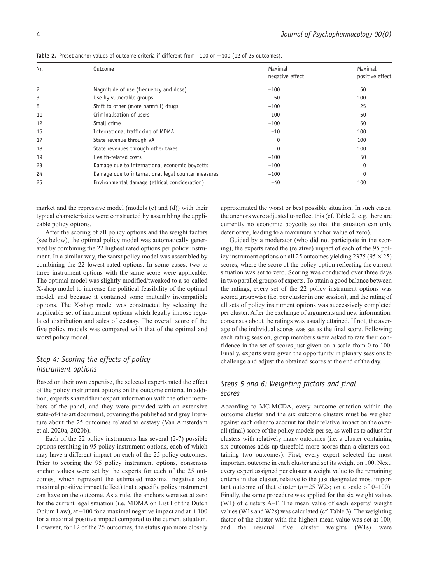| Nr. | Outcome                                            | Maximal<br>negative effect | Maximal<br>positive effect |
|-----|----------------------------------------------------|----------------------------|----------------------------|
| 2   | Magnitude of use (frequency and dose)              | $-100$                     | 50                         |
| 3   | Use by vulnerable groups                           | $-50$                      | 100                        |
| 8   | Shift to other (more harmful) drugs                | $-100$                     | 25                         |
| 11  | Criminalisation of users                           | $-100$                     | 50                         |
| 12  | Small crime                                        | $-100$                     | 50                         |
| 15  | International trafficking of MDMA                  | $-10$                      | 100                        |
| 17  | State revenue through VAT                          | $\Omega$                   | 100                        |
| 18  | State revenues through other taxes                 | $\Omega$                   | 100                        |
| 19  | Health-related costs                               | $-100$                     | 50                         |
| 23  | Damage due to international economic boycotts      | $-100$                     | 0                          |
| 24  | Damage due to international legal counter measures | $-100$                     | 0                          |
| 25  | Environmental damage (ethical consideration)       | $-40$                      | 100                        |

**Table 2.** Preset anchor values of outcome criteria if different from  $-100$  or  $+100$  (12 of 25 outcomes).

market and the repressive model (models (c) and (d)) with their typical characteristics were constructed by assembling the applicable policy options.

After the scoring of all policy options and the weight factors (see below), the optimal policy model was automatically generated by combining the 22 highest rated options per policy instrument. In a similar way, the worst policy model was assembled by combining the 22 lowest rated options. In some cases, two to three instrument options with the same score were applicable. The optimal model was slightly modified/tweaked to a so-called X-shop model to increase the political feasibility of the optimal model, and because it contained some mutually incompatible options. The X-shop model was constructed by selecting the applicable set of instrument options which legally impose regulated distribution and sales of ecstasy. The overall score of the five policy models was compared with that of the optimal and worst policy model.

# *Step 4: Scoring the effects of policy instrument options*

Based on their own expertise, the selected experts rated the effect of the policy instrument options on the outcome criteria. In addition, experts shared their expert information with the other members of the panel, and they were provided with an extensive state-of-the-art document, covering the published and grey literature about the 25 outcomes related to ecstasy (Van Amsterdam et al. 2020a, 2020b).

Each of the 22 policy instruments has several (2-7) possible options resulting in 95 policy instrument options, each of which may have a different impact on each of the 25 policy outcomes. Prior to scoring the 95 policy instrument options, consensus anchor values were set by the experts for each of the 25 outcomes, which represent the estimated maximal negative and maximal positive impact (effect) that a specific policy instrument can have on the outcome. As a rule, the anchors were set at zero for the current legal situation (i.e. MDMA on List I of the Dutch Opium Law), at  $-100$  for a maximal negative impact and at  $+100$ for a maximal positive impact compared to the current situation. However, for 12 of the 25 outcomes, the status quo more closely

approximated the worst or best possible situation. In such cases, the anchors were adjusted to reflect this (cf. Table 2; e.g. there are currently no economic boycotts so that the situation can only deteriorate, leading to a maximum anchor value of zero).

Guided by a moderator (who did not participate in the scoring), the experts rated the (relative) impact of each of the 95 policy instrument options on all 25 outcomes yielding 2375 ( $95 \times 25$ ) scores, where the score of the policy option reflecting the current situation was set to zero. Scoring was conducted over three days in two parallel groups of experts. To attain a good balance between the ratings, every set of the 22 policy instrument options was scored groupwise (i.e. per cluster in one session), and the rating of all sets of policy instrument options was successively completed per cluster. After the exchange of arguments and new information, consensus about the ratings was usually attained. If not, the average of the individual scores was set as the final score. Following each rating session, group members were asked to rate their confidence in the set of scores just given on a scale from 0 to 100. Finally, experts were given the opportunity in plenary sessions to challenge and adjust the obtained scores at the end of the day.

# *Steps 5 and 6: Weighting factors and final scores*

According to MC-MCDA, every outcome criterion within the outcome cluster and the six outcome clusters must be weighed against each other to account for their relative impact on the overall (final) score of the policy models per se, as well as to adjust for clusters with relatively many outcomes (i.e. a cluster containing six outcomes adds up threefold more scores than a clusters containing two outcomes). First, every expert selected the most important outcome in each cluster and set its weight on 100. Next, every expert assigned per cluster a weight value to the remaining criteria in that cluster, relative to the just designated most important outcome of that cluster  $(n=25 \text{ W2s})$ ; on a scale of 0–100). Finally, the same procedure was applied for the six weight values (W1) of clusters A–F. The mean value of each experts' weight values (W1s and W2s) was calculated (cf. Table 3). The weighting factor of the cluster with the highest mean value was set at 100, and the residual five cluster weights (W1s) were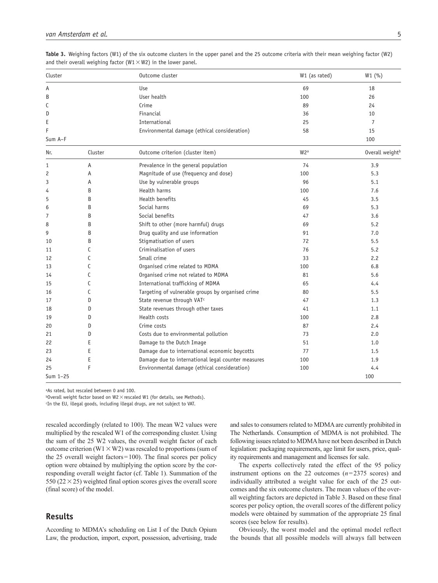| Cluster  |         | Outcome cluster                                    | W1 (as rated)    | W1(%)                       |
|----------|---------|----------------------------------------------------|------------------|-----------------------------|
| Α        |         | Use                                                | 69               | 18                          |
| B        |         | User health                                        | 100              | 26                          |
| С        |         | Crime                                              | 89               | 24                          |
| D        |         | Financial                                          | 36               | 10                          |
| E        |         | International                                      | 25               | $\overline{7}$              |
| F        |         | Environmental damage (ethical consideration)       | 58               | 15                          |
| Sum A-F  |         |                                                    |                  | 100                         |
| Nr.      | Cluster | Outcome criterion (cluster item)                   | W <sub>2</sub> a | Overall weight <sup>b</sup> |
| 1        | Α       | Prevalence in the general population               | 74               | 3.9                         |
| 2        | A       | Magnitude of use (frequency and dose)              | 100              | 5.3                         |
| 3        | A       | Use by vulnerable groups                           | 96               | 5.1                         |
| 4        | B       | Health harms                                       | 100              | 7.6                         |
| 5        | B       | Health benefits                                    | 45               | 3.5                         |
| 6        | B       | Social harms                                       | 69               | 5.3                         |
| 7        | B       | Social benefits                                    | 47               | 3.6                         |
| 8        | B       | Shift to other (more harmful) drugs                | 69               | 5.2                         |
| 9        | B       | Drug quality and use information                   | 91               | 7.0                         |
| 10       | B       | Stigmatisation of users                            | 72               | 5.5                         |
| 11       | С       | Criminalisation of users                           | 76               | 5.2                         |
| 12       | C       | Small crime                                        | 33               | 2.2                         |
| 13       | C       | Organised crime related to MDMA                    | 100              | 6.8                         |
| 14       | C       | Organised crime not related to MDMA                | 81               | 5.6                         |
| 15       | C       | International trafficking of MDMA                  | 65               | 4.4                         |
| 16       | C       | Targeting of vulnerable groups by organised crime  | 80               | 5.5                         |
| 17       | D       | State revenue through VAT <sup>c</sup>             | 47               | 1.3                         |
| 18       | D       | State revenues through other taxes                 | 41               | 1.1                         |
| 19       | D       | Health costs                                       | 100              | 2.8                         |
| 20       | D       | Crime costs                                        | 87               | 2.4                         |
| 21       | D       | Costs due to environmental pollution               | 73               | 2.0                         |
| 22       | E       | Damage to the Dutch Image                          | 51               | 1.0                         |
| 23       | E       | Damage due to international economic boycotts      | 77               | 1.5                         |
| 24       | E       | Damage due to international legal counter measures | 100              | 1.9                         |
| 25       | F       | Environmental damage (ethical consideration)       | 100              | 4.4                         |
| Sum 1-25 |         |                                                    |                  | 100                         |

**Table 3.** Weighing factors (W1) of the six outcome clusters in the upper panel and the 25 outcome criteria with their mean weighing factor (W2) and their overall weighing factor ( $W1 \times W2$ ) in the lower panel.

aAs rated, but rescaled between 0 and 100.

 $b$ Overall weight factor based on W2  $\times$  rescaled W1 (for details, see Methods).

c In the EU, illegal goods, including illegal drugs, are not subject to VAT.

rescaled accordingly (related to 100). The mean W2 values were multiplied by the rescaled W1 of the corresponding cluster. Using the sum of the 25 W2 values, the overall weight factor of each outcome criterion (W1  $\times$  W2) was rescaled to proportions (sum of the 25 overall weight factors=100). The final scores per policy option were obtained by multiplying the option score by the corresponding overall weight factor (cf. Table 1). Summation of the 550 ( $22 \times 25$ ) weighted final option scores gives the overall score (final score) of the model.

## **Results**

According to MDMA's scheduling on List I of the Dutch Opium Law, the production, import, export, possession, advertising, trade and sales to consumers related to MDMA are currently prohibited in The Netherlands. Consumption of MDMA is not prohibited. The following issues related to MDMA have not been described in Dutch legislation: packaging requirements, age limit for users, price, quality requirements and management and licenses for sale.

The experts collectively rated the effect of the 95 policy instrument options on the 22 outcomes (*n*=2375 scores) and individually attributed a weight value for each of the 25 outcomes and the six outcome clusters. The mean values of the overall weighting factors are depicted in Table 3. Based on these final scores per policy option, the overall scores of the different policy models were obtained by summation of the appropriate 25 final scores (see below for results).

Obviously, the worst model and the optimal model reflect the bounds that all possible models will always fall between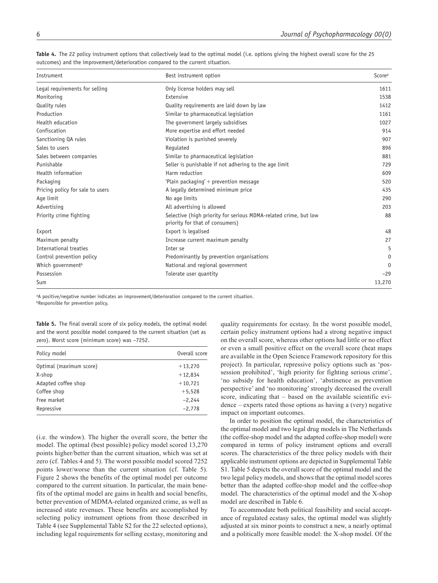| Instrument                       | Best instrument option                                                                              | Scorea   |
|----------------------------------|-----------------------------------------------------------------------------------------------------|----------|
| Legal requirements for selling   | Only license holders may sell                                                                       | 1611     |
| Monitoring                       | Extensive                                                                                           | 1538     |
| Quality rules                    | Quality requirements are laid down by law                                                           | 1412     |
| Production                       | Similar to pharmaceutical legislation                                                               | 1161     |
| Health education                 | The government largely subsidises                                                                   | 1027     |
| Confiscation                     | More expertise and effort needed                                                                    | 914      |
| Sanctioning QA rules             | Violation is punished severely                                                                      | 907      |
| Sales to users                   | Regulated                                                                                           | 896      |
| Sales between companies          | Similar to pharmaceutical legislation                                                               | 881      |
| Punishable                       | Seller is punishable if not adhering to the age limit                                               | 729      |
| Health information               | Harm reduction                                                                                      | 609      |
| Packaging                        | 'Plain packaging' + prevention message                                                              | 520      |
| Pricing policy for sale to users | A legally determined minimum price                                                                  | 435      |
| Age limit                        | No age limits                                                                                       | 290      |
| Advertising                      | All advertising is allowed                                                                          | 203      |
| Priority crime fighting          | Selective (high priority for serious MDMA-related crime, but low<br>priority for that of consumers) | 88       |
| Export                           | Export is legalised                                                                                 | 48       |
| Maximum penalty                  | Increase current maximum penalty                                                                    | 27       |
| International treaties           | Inter se                                                                                            | 5        |
| Control prevention policy        | Predominantly by prevention organisations                                                           | 0        |
| Which government <sup>b</sup>    | National and regional government                                                                    | $\Omega$ |
| Possession                       | Tolerate user quantity                                                                              | $-29$    |
| Sum                              |                                                                                                     | 13,270   |

Table 4. The 22 policy instrument options that collectively lead to the optimal model (i.e. options giving the highest overall score for the 25 outcomes) and the improvement/deterioration compared to the current situation.

aA positive/negative number indicates an improvement/deterioration compared to the current situation. **bResponsible for prevention policy.** 

**Table 5.** The final overall score of six policy models, the optimal model and the worst possible model compared to the current situation (set as zero). Worst score (minimum score) was –7252.

| Policy model            | Overall score |
|-------------------------|---------------|
| Optimal (maximum score) | $+13,270$     |
| X-shop                  | $+12,834$     |
| Adapted coffee shop     | $+10,721$     |
| Coffee shop             | $+5,528$      |
| Free market             | $-2,244$      |
| Repressive              | $-2.778$      |

(i.e. the window). The higher the overall score, the better the model. The optimal (best possible) policy model scored 13,270 points higher/better than the current situation, which was set at zero (cf. Tables 4 and 5). The worst possible model scored 7252 points lower/worse than the current situation (cf. Table 5). Figure 2 shows the benefits of the optimal model per outcome compared to the current situation. In particular, the main benefits of the optimal model are gains in health and social benefits, better prevention of MDMA-related organized crime, as well as increased state revenues. These benefits are accomplished by selecting policy instrument options from those described in Table 4 (see Supplemental Table S2 for the 22 selected options), including legal requirements for selling ecstasy, monitoring and

quality requirements for ecstasy. In the worst possible model, certain policy instrument options had a strong negative impact on the overall score, whereas other options had little or no effect or even a small positive effect on the overall score (heat maps are available in the Open Science Framework repository for this project). In particular, repressive policy options such as 'possession prohibited', 'high priority for fighting serious crime', 'no subsidy for health education', 'abstinence as prevention perspective' and 'no monitoring' strongly decreased the overall score, indicating that – based on the available scientific evidence – experts rated those options as having a (very) negative impact on important outcomes.

In order to position the optimal model, the characteristics of the optimal model and two legal drug models in The Netherlands (the coffee-shop model and the adapted coffee-shop model) were compared in terms of policy instrument options and overall scores. The characteristics of the three policy models with their applicable instrument options are depicted in Supplemental Table S1. Table 5 depicts the overall score of the optimal model and the two legal policy models, and shows that the optimal model scores better than the adapted coffee-shop model and the coffee-shop model. The characteristics of the optimal model and the X-shop model are described in Table 6.

To accommodate both political feasibility and social acceptance of regulated ecstasy sales, the optimal model was slightly adjusted at six minor points to construct a new, a nearly optimal and a politically more feasible model: the X-shop model. Of the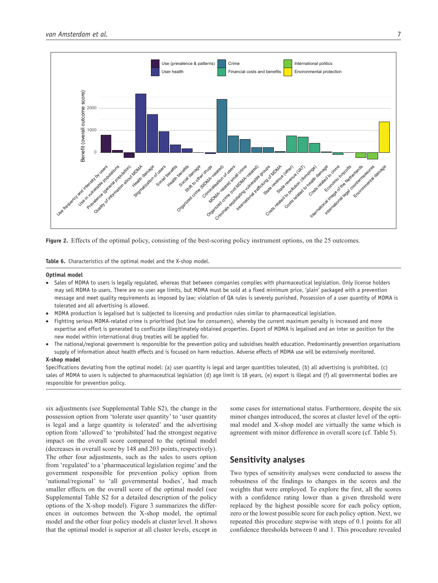

**Figure 2.** Effects of the optimal policy, consisting of the best-scoring policy instrument options, on the 25 outcomes.

**Table 6.** Characteristics of the optimal model and the X-shop model.

#### **Optimal model**

- Sales of MDMA to users is legally regulated, whereas that between companies complies with pharmaceutical legislation. Only license holders may sell MDMA to users. There are no user age limits, but MDMA must be sold at a fixed minimum price, 'plain' packaged with a prevention message and meet quality requirements as imposed by law; violation of QA rules is severely punished. Possession of a user quantity of MDMA is tolerated and all advertising is allowed.
- MDMA production is legalised but is subjected to licensing and production rules similar to pharmaceutical legislation.
- Fighting serious MDMA-related crime is prioritised (but low for consumers), whereby the current maximum penalty is increased and more expertise and effort is generated to confiscate illegitimately obtained properties. Export of MDMA is legalised and an inter se position for the new model within international drug treaties will be applied for.
- The national/regional government is responsible for the prevention policy and subsidises health education. Predominantly prevention organisations supply of information about health effects and is focused on harm reduction. Adverse effects of MDMA use will be extensively monitored.

#### **X-shop model**

Specifications deviating from the optimal model: (a) user quantity is legal and larger quantities tolerated, (b) all advertising is prohibited, (c) sales of MDMA to users is subjected to pharmaceutical legislation (d) age limit is 18 years, (e) export is illegal and (f) all governmental bodies are responsible for prevention policy.

six adjustments (see Supplemental Table S2), the change in the possession option from 'tolerate user quantity' to 'user quantity is legal and a large quantity is tolerated' and the advertising option from 'allowed' to 'prohibited' had the strongest negative impact on the overall score compared to the optimal model (decreases in overall score by 148 and 203 points, respectively). The other four adjustments, such as the sales to users option from 'regulated' to a 'pharmaceutical legislation regime' and the government responsible for prevention policy option from 'national/regional' to 'all governmental bodies', had much smaller effects on the overall score of the optimal model (see Supplemental Table S2 for a detailed description of the policy options of the X-shop model). Figure 3 summarizes the differences in outcomes between the X-shop model, the optimal model and the other four policy models at cluster level. It shows that the optimal model is superior at all cluster levels, except in some cases for international status. Furthermore, despite the six minor changes introduced, the scores at cluster level of the optimal model and X-shop model are virtually the same which is agreement with minor difference in overall score (cf. Table 5).

## **Sensitivity analyses**

Two types of sensitivity analyses were conducted to assess the robustness of the findings to changes in the scores and the weights that were employed. To explore the first, all the scores with a confidence rating lower than a given threshold were replaced by the highest possible score for each policy option, zero or the lowest possible score for each policy option. Next, we repeated this procedure stepwise with steps of 0.1 points for all confidence thresholds between 0 and 1. This procedure revealed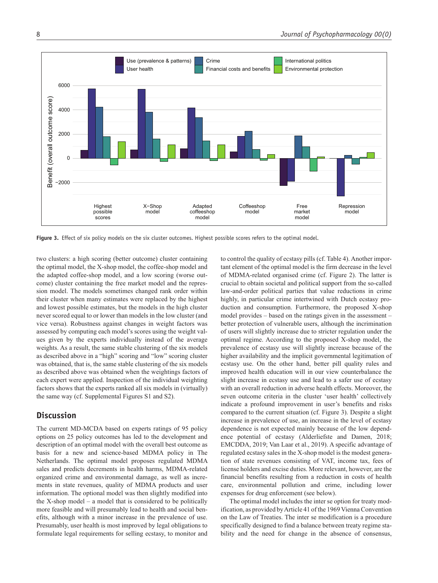

**Figure 3.** Effect of six policy models on the six cluster outcomes. Highest possible scores refers to the optimal model.

two clusters: a high scoring (better outcome) cluster containing the optimal model, the X-shop model, the coffee-shop model and the adapted coffee-shop model, and a low scoring (worse outcome) cluster containing the free market model and the repression model. The models sometimes changed rank order within their cluster when many estimates were replaced by the highest and lowest possible estimates, but the models in the high cluster never scored equal to or lower than models in the low cluster (and vice versa). Robustness against changes in weight factors was assessed by computing each model's scores using the weight values given by the experts individually instead of the average weights. As a result, the same stable clustering of the six models as described above in a "high" scoring and "low" scoring cluster was obtained, that is, the same stable clustering of the six models as described above was obtained when the weightings factors of each expert were applied. Inspection of the individual weighting factors shows that the experts ranked all six models in (virtually) the same way (cf. Supplemental Figures S1 and S2).

### **Discussion**

The current MD-MCDA based on experts ratings of 95 policy options on 25 policy outcomes has led to the development and description of an optimal model with the overall best outcome as basis for a new and science-based MDMA policy in The Netherlands. The optimal model proposes regulated MDMA sales and predicts decrements in health harms, MDMA-related organized crime and environmental damage, as well as increments in state revenues, quality of MDMA products and user information. The optional model was then slightly modified into the X-shop model – a model that is considered to be politically more feasible and will presumably lead to health and social benefits, although with a minor increase in the prevalence of use. Presumably, user health is most improved by legal obligations to formulate legal requirements for selling ecstasy, to monitor and

to control the quality of ecstasy pills (cf. Table 4). Another important element of the optimal model is the firm decrease in the level of MDMA-related organised crime (cf. Figure 2). The latter is crucial to obtain societal and political support from the so-called law-and-order political parties that value reductions in crime highly, in particular crime intertwined with Dutch ecstasy production and consumption. Furthermore, the proposed X-shop model provides – based on the ratings given in the assessment – better protection of vulnerable users, although the incrimination of users will slightly increase due to stricter regulation under the optimal regime. According to the proposed X-shop model, the prevalence of ecstasy use will slightly increase because of the higher availability and the implicit governmental legitimation of ecstasy use. On the other hand, better pill quality rules and improved health education will in our view counterbalance the slight increase in ecstasy use and lead to a safer use of ecstasy with an overall reduction in adverse health effects. Moreover, the seven outcome criteria in the cluster 'user health' collectively indicate a profound improvement in user's benefits and risks compared to the current situation (cf. Figure 3). Despite a slight increase in prevalence of use, an increase in the level of ecstasy dependence is not expected mainly because of the low dependence potential of ecstasy (Alderliefste and Damen, 2018; EMCDDA, 2019; Van Laar et al., 2019). A specific advantage of regulated ecstasy sales in the X-shop model is the modest generation of state revenues consisting of VAT, income tax, fees of license holders and excise duties. More relevant, however, are the financial benefits resulting from a reduction in costs of health care, environmental pollution and crime, including lower expenses for drug enforcement (see below).

The optimal model includes the inter se option for treaty modification, as provided by Article 41 of the 1969 Vienna Convention on the Law of Treaties. The inter se modification is a procedure specifically designed to find a balance between treaty regime stability and the need for change in the absence of consensus,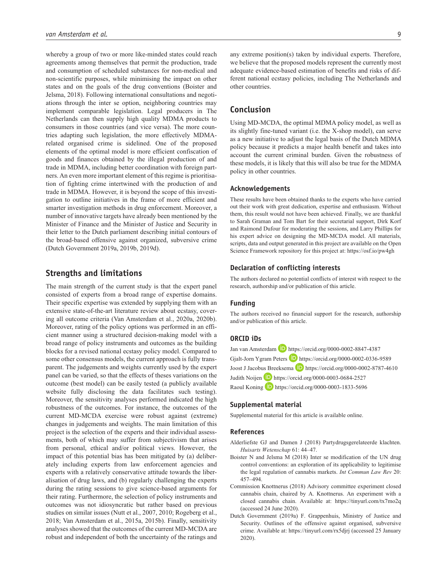whereby a group of two or more like-minded states could reach agreements among themselves that permit the production, trade and consumption of scheduled substances for non-medical and non-scientific purposes, while minimising the impact on other states and on the goals of the drug conventions (Boister and Jelsma, 2018). Following international consultations and negotiations through the inter se option, neighboring countries may implement comparable legislation. Legal producers in The Netherlands can then supply high quality MDMA products to consumers in those countries (and vice versa). The more countries adapting such legislation, the more effectively MDMArelated organised crime is sidelined. One of the proposed elements of the optimal model is more efficient confiscation of goods and finances obtained by the illegal production of and trade in MDMA, including better coordination with foreign partners. An even more important element of this regime is prioritisation of fighting crime intertwined with the production of and trade in MDMA. However, it is beyond the scope of this investigation to outline initiatives in the frame of more efficient and smarter investigation methods in drug enforcement. Moreover, a number of innovative targets have already been mentioned by the Minister of Finance and the Minister of Justice and Security in their letter to the Dutch parliament describing initial contours of the broad-based offensive against organized, subversive crime (Dutch Government 2019a, 2019b, 2019d).

# **Strengths and limitations**

The main strength of the current study is that the expert panel consisted of experts from a broad range of expertise domains. Their specific expertise was extended by supplying them with an extensive state-of-the-art literature review about ecstasy, covering all outcome criteria (Van Amsterdam et al., 2020a, 2020b). Moreover, rating of the policy options was performed in an efficient manner using a structured decision-making model with a broad range of policy instruments and outcomes as the building blocks for a revised national ecstasy policy model. Compared to some other consensus models, the current approach is fully transparent. The judgements and weights currently used by the expert panel can be varied, so that the effects of theses variations on the outcome (best model) can be easily tested (a publicly available website fully disclosing the data facilitates such testing). Moreover, the sensitivity analyses performed indicated the high robustness of the outcomes. For instance, the outcomes of the current MD-MCDA exercise were robust against (extreme) changes in judgements and weights. The main limitation of this project is the selection of the experts and their individual assessments, both of which may suffer from subjectivism that arises from personal, ethical and/or political views. However, the impact of this potential bias has been mitigated by (a) deliberately including experts from law enforcement agencies and experts with a relatively conservative attitude towards the liberalisation of drug laws, and (b) regularly challenging the experts during the rating sessions to give science-based arguments for their rating. Furthermore, the selection of policy instruments and outcomes was not idiosyncratic but rather based on previous studies on similar issues (Nutt et al., 2007, 2010; Rogeberg et al., 2018; Van Amsterdam et al., 2015a, 2015b). Finally, sensitivity analyses showed that the outcomes of the current MD-MCDA are robust and independent of both the uncertainty of the ratings and any extreme position(s) taken by individual experts. Therefore, we believe that the proposed models represent the currently most adequate evidence-based estimation of benefits and risks of different national ecstasy policies, including The Netherlands and other countries.

### **Conclusion**

Using MD-MCDA, the optimal MDMA policy model, as well as its slightly fine-tuned variant (i.e. the X-shop model), can serve as a new initiative to adjust the legal basis of the Dutch MDMA policy because it predicts a major health benefit and takes into account the current criminal burden. Given the robustness of these models, it is likely that this will also be true for the MDMA policy in other countries.

#### **Acknowledgements**

These results have been obtained thanks to the experts who have carried out their work with great dedication, expertise and enthusiasm. Without them, this result would not have been achieved. Finally, we are thankful to Sarah Graman and Tom Bart for their secretarial support, Dirk Korf and Raimond Dufour for moderating the sessions, and Larry Phillips for his expert advice on designing the MD-MCDA model. All materials, scripts, data and output generated in this project are available on the Open Science Framework repository for this project at:<https://osf.io/pw4gh>

#### **Declaration of conflicting interests**

The authors declared no potential conflicts of interest with respect to the research, authorship and/or publication of this article.

#### **Funding**

The authors received no financial support for the research, authorship and/or publication of this article.

#### **ORCID iDs**

Jan van Amsterdam D <https://orcid.org/0000-0002-8847-4387> Gjalt-Jorn Ygram Peters D <https://orcid.org/0000-0002-0336-9589> Joost J Jacobus Breeksema D <https://orcid.org/0000-0002-8787-4610> Judith Noijen <https://orcid.org/0000-0003-0684-2527> Raoul Koning **D** <https://orcid.org/0000-0003-1833-5696>

#### **Supplemental material**

Supplemental material for this article is available online.

#### **References**

- Alderliefste GJ and Damen J (2018) Partydrugsgerelateerde klachten. *Huisarts Wetenschap* 61: 44–47.
- Boister N and Jelsma M (2018) Inter se modification of the UN drug control conventions: an exploration of its applicability to legitimise the legal regulation of cannabis markets. *Int Commun Law Rev* 20: 457–494.
- Commission Knottnerus (2018) Advisory committee experiment closed cannabis chain, chaired by A. Knottnerus. An experiment with a closed cannabis chain. Available at: <https://tinyurl.com/tx7mo2q> (accessed 24 June 2020).
- Dutch Government (2019a) F. Grappenhuis, Ministry of Justice and Security. Outlines of the offensive against organised, subversive crime. Available at: <https://tinyurl.com/rx5djrj>(accessed 25 January 2020).